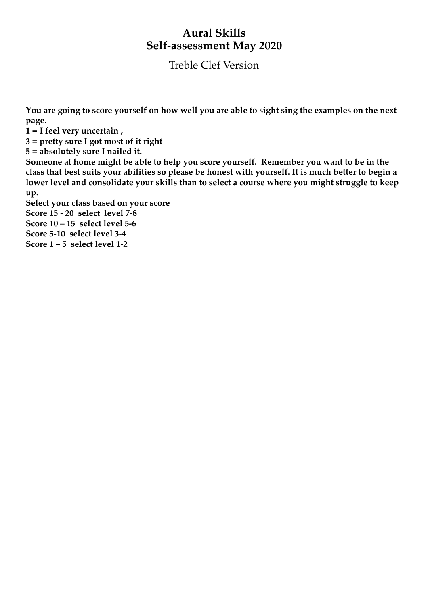## **Aural Skills Self-assessment May 2020**

Treble Clef Version

**You are going to score yourself on how well you are able to sight sing the examples on the next page.** 

**1 = I feel very uncertain ,**

**3 = pretty sure I got most of it right**

**5 = absolutely sure I nailed it.**

**Someone at home might be able to help you score yourself. Remember you want to be in the class that best suits your abilities so please be honest with yourself. It is much better to begin a lower level and consolidate your skills than to select a course where you might struggle to keep up.**

**Select your class based on your score**

**Score 15 - 20 select level 7-8** 

**Score 10 – 15 select level 5-6**

**Score 5-10 select level 3-4**

**Score 1 – 5 select level 1-2**